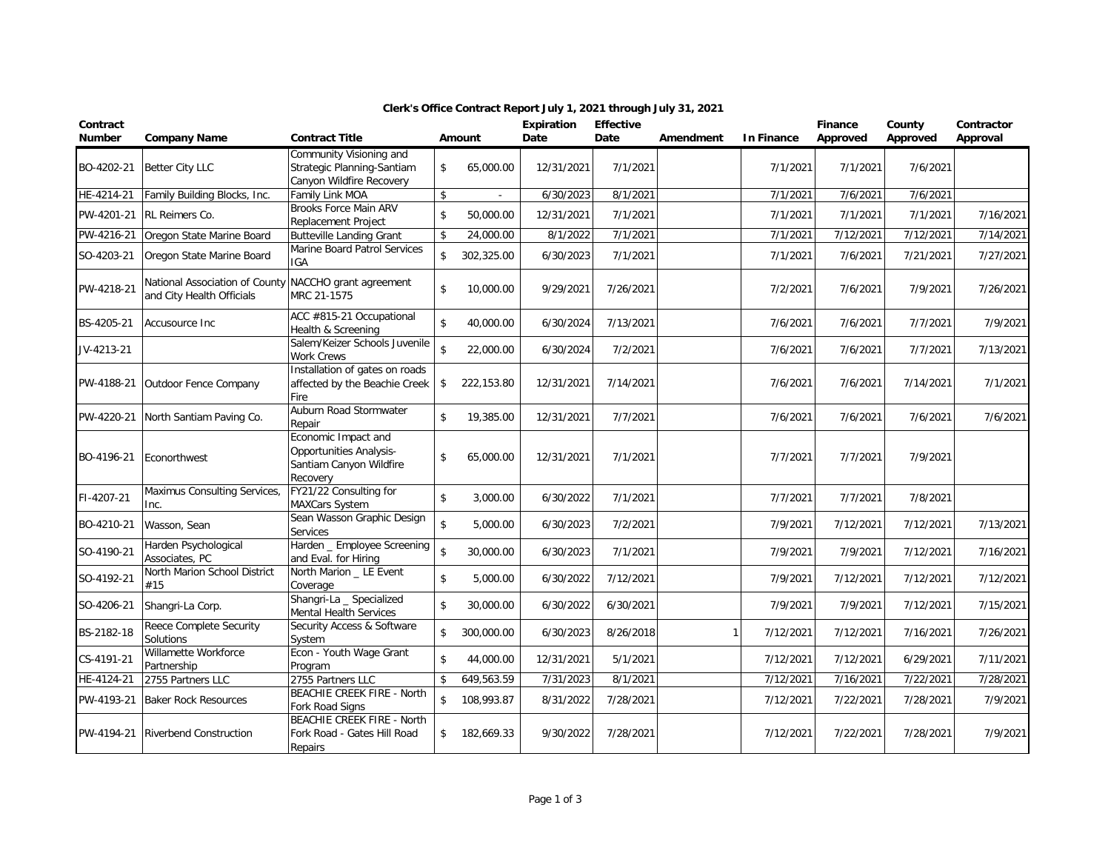| Contract<br><b>Number</b> | <b>Company Name</b>                                                                | <b>Contract Title</b>                                                                        |                    | Amount       | Expiration<br>Date | <b>Effective</b><br>Date | Amendment | <b>In Finance</b> | Finance<br>Approved | County<br>Approved | Contractor<br>Approval |
|---------------------------|------------------------------------------------------------------------------------|----------------------------------------------------------------------------------------------|--------------------|--------------|--------------------|--------------------------|-----------|-------------------|---------------------|--------------------|------------------------|
| BO-4202-21                | Better City LLC                                                                    | Community Visioning and<br>Strategic Planning-Santiam<br>Canyon Wildfire Recovery            | \$                 | 65,000.00    | 12/31/2021         | 7/1/2021                 |           | 7/1/2021          | 7/1/2021            | 7/6/2021           |                        |
| HE-4214-21                | Family Building Blocks, Inc.                                                       | Family Link MOA                                                                              | $\sqrt{2}$         |              | 6/30/2023          | 8/1/2021                 |           | 7/1/2021          | 7/6/2021            | 7/6/2021           |                        |
| PW-4201-21                | RL Reimers Co.                                                                     | Brooks Force Main ARV<br>Replacement Project                                                 | \$                 | 50,000.00    | 12/31/2021         | 7/1/2021                 |           | 7/1/2021          | 7/1/2021            | 7/1/2021           | 7/16/2021              |
| PW-4216-21                | Oregon State Marine Board                                                          | <b>Butteville Landing Grant</b>                                                              | \$                 | 24,000.00    | 8/1/2022           | 7/1/2021                 |           | 7/1/2021          | 7/12/2021           | 7/12/2021          | 7/14/2021              |
| SO-4203-21                | Oregon State Marine Board                                                          | Marine Board Patrol Services<br>IGA                                                          | \$                 | 302,325.00   | 6/30/2023          | 7/1/2021                 |           | 7/1/2021          | 7/6/2021            | 7/21/2021          | 7/27/2021              |
| PW-4218-21                | National Association of County NACCHO grant agreement<br>and City Health Officials | MRC 21-1575                                                                                  | \$                 | 10,000.00    | 9/29/2021          | 7/26/2021                |           | 7/2/2021          | 7/6/2021            | 7/9/2021           | 7/26/2021              |
| BS-4205-21                | Accusource Inc                                                                     | ACC #815-21 Occupational<br>Health & Screening                                               | \$                 | 40,000.00    | 6/30/2024          | 7/13/2021                |           | 7/6/2021          | 7/6/2021            | 7/7/2021           | 7/9/2021               |
| JV-4213-21                |                                                                                    | Salem/Keizer Schools Juvenile<br><b>Work Crews</b>                                           | $\mathbf{\hat{S}}$ | 22,000.00    | 6/30/2024          | 7/2/2021                 |           | 7/6/2021          | 7/6/2021            | 7/7/2021           | 7/13/2021              |
| PW-4188-21                | Outdoor Fence Company                                                              | Installation of gates on roads<br>affected by the Beachie Creek<br>Fire                      | \$                 | 222,153.80   | 12/31/2021         | 7/14/2021                |           | 7/6/2021          | 7/6/2021            | 7/14/2021          | 7/1/2021               |
| PW-4220-21                | North Santiam Paving Co.                                                           | Auburn Road Stormwater<br>Repair                                                             | \$                 | 19,385.00    | 12/31/2021         | 7/7/2021                 |           | 7/6/2021          | 7/6/2021            | 7/6/2021           | 7/6/2021               |
| BO-4196-21                | Econorthwest                                                                       | Economic Impact and<br><b>Opportunities Analysis-</b><br>Santiam Canyon Wildfire<br>Recovery | \$                 | 65,000.00    | 12/31/2021         | 7/1/2021                 |           | 7/7/2021          | 7/7/2021            | 7/9/2021           |                        |
| FI-4207-21                | Maximus Consulting Services,<br>Inc.                                               | FY21/22 Consulting for<br><b>MAXCars System</b>                                              | \$                 | 3,000.00     | 6/30/2022          | 7/1/2021                 |           | 7/7/2021          | 7/7/2021            | 7/8/2021           |                        |
| BO-4210-21                | Wasson, Sean                                                                       | Sean Wasson Graphic Design<br>Services                                                       | \$                 | 5,000.00     | 6/30/2023          | 7/2/2021                 |           | 7/9/2021          | 7/12/2021           | 7/12/2021          | 7/13/2021              |
| SO-4190-21                | Harden Psychological<br>Associates, PC                                             | Harden _ Employee Screening<br>and Eval. for Hiring                                          | $\mathbf{\hat{S}}$ | 30,000.00    | 6/30/2023          | 7/1/2021                 |           | 7/9/2021          | 7/9/2021            | 7/12/2021          | 7/16/2021              |
| SO-4192-21                | North Marion School District<br>#15                                                | North Marion _ LE Event<br>Coverage                                                          | \$                 | 5,000.00     | 6/30/2022          | 7/12/2021                |           | 7/9/2021          | 7/12/2021           | 7/12/2021          | 7/12/2021              |
| SO-4206-21                | Shangri-La Corp.                                                                   | Shangri-La _ Specialized<br>Mental Health Services                                           | \$                 | 30,000.00    | 6/30/2022          | 6/30/2021                |           | 7/9/2021          | 7/9/2021            | 7/12/2021          | 7/15/2021              |
| BS-2182-18                | Reece Complete Security<br>Solutions                                               | Security Access & Software<br>System                                                         | \$                 | 300,000.00   | 6/30/2023          | 8/26/2018                |           | 7/12/2021         | 7/12/2021           | 7/16/2021          | 7/26/2021              |
| CS-4191-21                | Willamette Workforce<br>Partnership                                                | Econ - Youth Wage Grant<br>Program                                                           | $\mathbf{\hat{S}}$ | 44,000.00    | 12/31/2021         | 5/1/2021                 |           | 7/12/2021         | 7/12/2021           | 6/29/2021          | 7/11/2021              |
| HE-4124-21                | 2755 Partners LLC                                                                  | 2755 Partners LLC                                                                            | \$                 | 649,563.59   | 7/31/2023          | 8/1/2021                 |           | 7/12/2021         | 7/16/2021           | 7/22/2021          | 7/28/2021              |
| PW-4193-21                | <b>Baker Rock Resources</b>                                                        | <b>BEACHIE CREEK FIRE - North</b><br>Fork Road Signs                                         | $\mathsf{\$}$      | 108,993.87   | 8/31/2022          | 7/28/2021                |           | 7/12/2021         | 7/22/2021           | 7/28/2021          | 7/9/2021               |
| PW-4194-21                | <b>Riverbend Construction</b>                                                      | BEACHIE CREEK FIRE - North<br>Fork Road - Gates Hill Road<br>Repairs                         |                    | \$182,669.33 | 9/30/2022          | 7/28/2021                |           | 7/12/2021         | 7/22/2021           | 7/28/2021          | 7/9/2021               |

## **Clerk's Office Contract Report July 1, 2021 through July 31, 2021**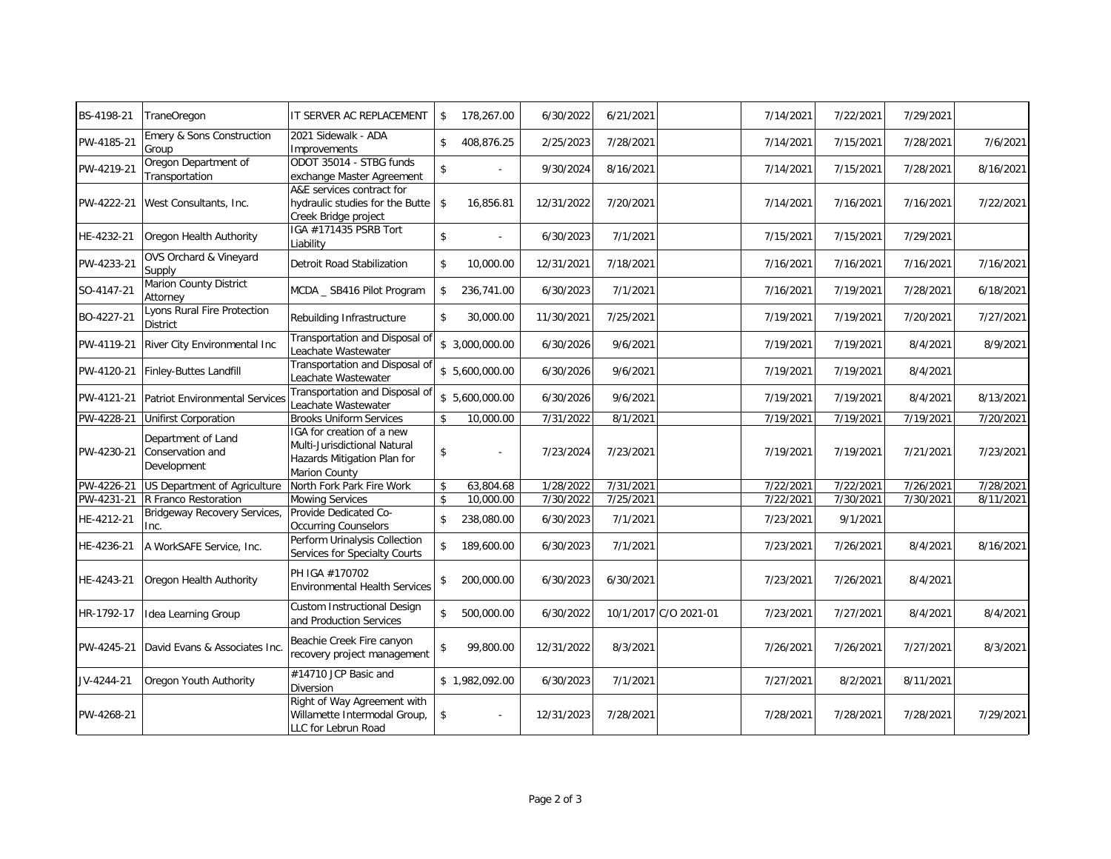| BS-4198-21 | <b>TraneOregon</b>                                    | IT SERVER AC REPLACEMENT                                                                                  | \$                 | 178,267.00     | 6/30/2022  | 6/21/2021             | 7/14/2021 | 7/22/2021 | 7/29/2021 |           |
|------------|-------------------------------------------------------|-----------------------------------------------------------------------------------------------------------|--------------------|----------------|------------|-----------------------|-----------|-----------|-----------|-----------|
| PW-4185-21 | Emery & Sons Construction<br>Group                    | 2021 Sidewalk - ADA<br>Improvements                                                                       | \$                 | 408,876.25     | 2/25/2023  | 7/28/2021             | 7/14/2021 | 7/15/2021 | 7/28/2021 | 7/6/2021  |
| PW-4219-21 | Oregon Department of<br>Transportation                | ODOT 35014 - STBG funds<br>exchange Master Agreement                                                      | \$                 |                | 9/30/2024  | 8/16/2021             | 7/14/2021 | 7/15/2021 | 7/28/2021 | 8/16/2021 |
| PW-4222-21 | West Consultants, Inc.                                | A&E services contract for<br>hydraulic studies for the Butte<br>Creek Bridge project                      | \$                 | 16,856.81      | 12/31/2022 | 7/20/2021             | 7/14/2021 | 7/16/2021 | 7/16/2021 | 7/22/2021 |
| HE-4232-21 | Oregon Health Authority                               | IGA #171435 PSRB Tort<br>Liability                                                                        | $\mathbf{\hat{z}}$ |                | 6/30/2023  | 7/1/2021              | 7/15/2021 | 7/15/2021 | 7/29/2021 |           |
| PW-4233-21 | OVS Orchard & Vineyard<br>Supply                      | Detroit Road Stabilization                                                                                | \$                 | 10,000.00      | 12/31/2021 | 7/18/2021             | 7/16/2021 | 7/16/2021 | 7/16/2021 | 7/16/2021 |
| SO-4147-21 | Marion County District<br>Attorney                    | MCDA _ SB416 Pilot Program                                                                                | \$                 | 236,741.00     | 6/30/2023  | 7/1/2021              | 7/16/2021 | 7/19/2021 | 7/28/2021 | 6/18/2021 |
| BO-4227-21 | Lyons Rural Fire Protection<br><b>District</b>        | Rebuilding Infrastructure                                                                                 | $\mathbf{\hat{S}}$ | 30,000.00      | 11/30/2021 | 7/25/2021             | 7/19/2021 | 7/19/2021 | 7/20/2021 | 7/27/2021 |
| PW-4119-21 | River City Environmental Inc                          | Transportation and Disposal of<br>Leachate Wastewater                                                     |                    | \$3,000,000.00 | 6/30/2026  | 9/6/2021              | 7/19/2021 | 7/19/2021 | 8/4/2021  | 8/9/2021  |
| PW-4120-21 | Finley-Buttes Landfill                                | Transportation and Disposal of<br>Leachate Wastewater                                                     |                    | \$5,600,000.00 | 6/30/2026  | 9/6/2021              | 7/19/2021 | 7/19/2021 | 8/4/2021  |           |
| PW-4121-21 | <b>Patriot Environmental Services</b>                 | Transportation and Disposal of<br>Leachate Wastewater                                                     |                    | \$5,600,000.00 | 6/30/2026  | 9/6/2021              | 7/19/2021 | 7/19/2021 | 8/4/2021  | 8/13/2021 |
| PW-4228-21 | <b>Unifirst Corporation</b>                           | <b>Brooks Uniform Services</b>                                                                            | $\mathbf{\hat{S}}$ | 10,000.00      | 7/31/2022  | 8/1/2021              | 7/19/2021 | 7/19/2021 | 7/19/2021 | 7/20/2021 |
| PW-4230-21 | Department of Land<br>Conservation and<br>Development | IGA for creation of a new<br>Multi-Jurisdictional Natural<br>Hazards Mitigation Plan for<br>Marion County | \$                 |                | 7/23/2024  | 7/23/2021             | 7/19/2021 | 7/19/2021 | 7/21/2021 | 7/23/2021 |
| PW-4226-21 | US Department of Agriculture                          | North Fork Park Fire Work                                                                                 | \$                 | 63,804.68      | 1/28/2022  | 7/31/2021             | 7/22/2021 | 7/22/2021 | 7/26/2021 | 7/28/2021 |
| PW-4231-21 | R Franco Restoration                                  | <b>Mowing Services</b>                                                                                    | $\mathbf{\hat{S}}$ | 10,000.00      | 7/30/2022  | 7/25/2021             | 7/22/2021 | 7/30/2021 | 7/30/2021 | 8/11/2021 |
| HE-4212-21 | Bridgeway Recovery Services,<br>Inc.                  | Provide Dedicated Co-<br><b>Occurring Counselors</b>                                                      | $\mathbf{\hat{S}}$ | 238,080.00     | 6/30/2023  | 7/1/2021              | 7/23/2021 | 9/1/2021  |           |           |
| HE-4236-21 | A WorkSAFE Service, Inc.                              | Perform Urinalysis Collection<br>Services for Specialty Courts                                            | $\mathbf{\hat{S}}$ | 189,600.00     | 6/30/2023  | 7/1/2021              | 7/23/2021 | 7/26/2021 | 8/4/2021  | 8/16/2021 |
| HE-4243-21 | Oregon Health Authority                               | PH IGA #170702<br><b>Environmental Health Services</b>                                                    | \$                 | 200,000.00     | 6/30/2023  | 6/30/2021             | 7/23/2021 | 7/26/2021 | 8/4/2021  |           |
| HR-1792-17 | Idea Learning Group                                   | <b>Custom Instructional Design</b><br>and Production Services                                             | \$                 | 500,000.00     | 6/30/2022  | 10/1/2017 C/O 2021-01 | 7/23/2021 | 7/27/2021 | 8/4/2021  | 8/4/2021  |
| PW-4245-21 | David Evans & Associates Inc.                         | Beachie Creek Fire canyon<br>recovery project management                                                  | \$                 | 99,800.00      | 12/31/2022 | 8/3/2021              | 7/26/2021 | 7/26/2021 | 7/27/2021 | 8/3/2021  |
| JV-4244-21 | Oregon Youth Authority                                | #14710 JCP Basic and<br>Diversion                                                                         |                    | \$1,982,092.00 | 6/30/2023  | 7/1/2021              | 7/27/2021 | 8/2/2021  | 8/11/2021 |           |
| PW-4268-21 |                                                       | Right of Way Agreement with<br>Willamette Intermodal Group,<br>LLC for Lebrun Road                        | \$                 |                | 12/31/2023 | 7/28/2021             | 7/28/2021 | 7/28/2021 | 7/28/2021 | 7/29/2021 |